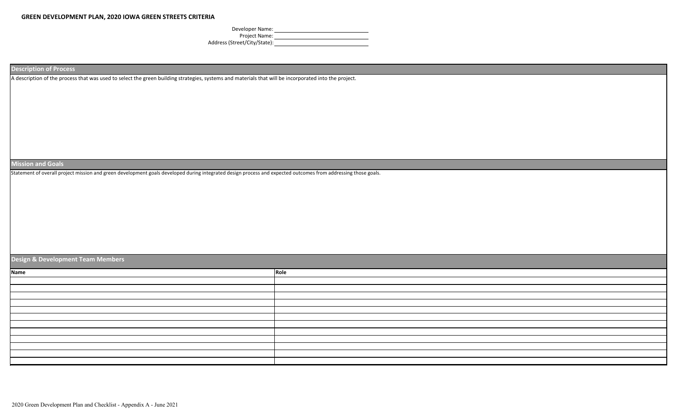Developer Name: Project Name: <u>Department</u> Address (Street/City/State): New York Channel Control of the Channel Channel Channel Channel Channel Channel Channel Channel Channel Channel Channel Channel Channel Channel Channel Channel Channel Channel Channel Channel C

**Description of Process**

A description of the process that was used to select the green building strategies, systems and materials that will be incorporated into the project.

## **Mission and Goals**

Statement of overall project mission and green development goals developed during integrated design process and expected outcomes from addressing those goals.

## **Design & Development Team Members**

| Role |
|------|
|      |
|      |
|      |
|      |
|      |
|      |
|      |
|      |
|      |
|      |
|      |
|      |
|      |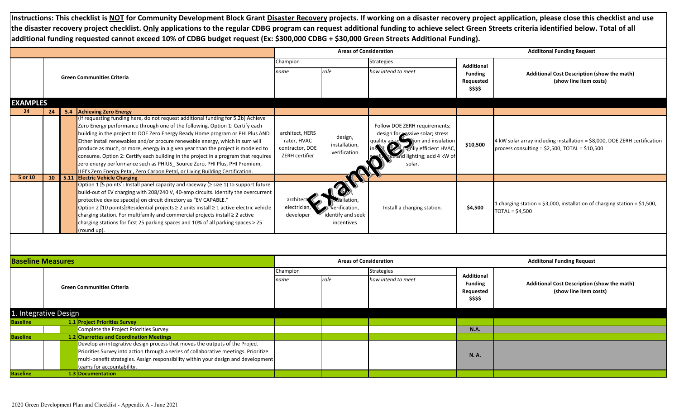**Instructions: This checklist is NOT for Community Development Block Grant Disaster Recovery projects. If working on a disaster recovery project application, please close this checklist and use the disaster recovery project checklist. Only applications to the regular CDBG program can request additional funding to achieve select Green Streets criteria identified below. Total of all additional funding requested cannot exceed 10% of CDBG budget request (Ex: \$300,000 CDBG + \$30,000 Green Streets Additional Funding).**

|                          |    |  |                                                                                                                                                                                                                                                                                                                                                                                                                                                                                                                                                                                                                                                                           |                                                                     | <b>Areas of Consideration</b>                    |                                                                                                                                                                                         |                                                              | <b>Addiitonal Funding Request</b>                                                                                              |  |  |
|--------------------------|----|--|---------------------------------------------------------------------------------------------------------------------------------------------------------------------------------------------------------------------------------------------------------------------------------------------------------------------------------------------------------------------------------------------------------------------------------------------------------------------------------------------------------------------------------------------------------------------------------------------------------------------------------------------------------------------------|---------------------------------------------------------------------|--------------------------------------------------|-----------------------------------------------------------------------------------------------------------------------------------------------------------------------------------------|--------------------------------------------------------------|--------------------------------------------------------------------------------------------------------------------------------|--|--|
|                          |    |  |                                                                                                                                                                                                                                                                                                                                                                                                                                                                                                                                                                                                                                                                           | Champion                                                            |                                                  | <b>Strategies</b>                                                                                                                                                                       | <b>Additional</b>                                            |                                                                                                                                |  |  |
|                          |    |  | <b>Green Communities Criteria</b>                                                                                                                                                                                                                                                                                                                                                                                                                                                                                                                                                                                                                                         | name                                                                | role                                             | how intend to meet                                                                                                                                                                      | <b>Funding</b><br>Requested<br>\$\$\$\$                      | Additional Cost Description (show the math)<br>(show line item costs)                                                          |  |  |
| <b>EXAMPLES</b>          |    |  |                                                                                                                                                                                                                                                                                                                                                                                                                                                                                                                                                                                                                                                                           |                                                                     |                                                  |                                                                                                                                                                                         |                                                              |                                                                                                                                |  |  |
| 24                       | 24 |  | 5.4 Achieving Zero Energy                                                                                                                                                                                                                                                                                                                                                                                                                                                                                                                                                                                                                                                 |                                                                     |                                                  |                                                                                                                                                                                         |                                                              |                                                                                                                                |  |  |
|                          |    |  | (If requesting funding here, do not request additional funding for 5.2b) Achieve<br>Zero Energy performance through one of the following. Option 1: Certify each<br>building in the project to DOE Zero Energy Ready Home program or PHI Plus AND<br>Either install renewables and/or procure renewable energy, which in sum will<br>produce as much, or more, energy in a given year than the project is modeled to<br>consume. Option 2: Certify each building in the project in a program that requires<br>zero energy performance such as PHIUS_Source Zero, PHI Plus, PHI Premium,<br>ILFI's Zero Energy Petal, Zero Carbon Petal, or Living Building Certification. | architect, HERS<br>rater, HVAC<br>contractor, DOE<br>ZERH certifier | design,<br>installation,<br>verification         | Follow DOE ZERH requirements;<br>design for sessive solar; stress<br>quality air in solid jon and insulation<br><b>De highliy efficient HVAC,</b><br>id lighting; add 4 kW of<br>solar. | \$10,500                                                     | 4 kW solar array including installation = \$8,000, DOE ZERH certification<br>process consulting = $$2,500$ , TOTAL = $$10,500$ |  |  |
| 5 or 10                  | 10 |  | 5.11 Electric Vehicle Charging                                                                                                                                                                                                                                                                                                                                                                                                                                                                                                                                                                                                                                            |                                                                     |                                                  |                                                                                                                                                                                         |                                                              |                                                                                                                                |  |  |
|                          |    |  | Option 1 [5 points]: Install panel capacity and raceway (≥ size 1) to support future<br>build-out of EV charging with 208/240 V, 40-amp circuits. Identify the overcurrent<br>protective device space(s) on circuit directory as "EV CAPABLE."<br>Option 2 [10 points]: Residential projects ≥ 2 units install ≥ 1 active electric vehicle<br>charging station. For multifamily and commercial projects install ≥ 2 active<br>charging stations for first 25 parking spaces and 10% of all parking spaces > 25<br>(round up).                                                                                                                                             | archite<br>electricial<br>developer                                 | verification,<br>identify and seek<br>incentives | Install a charging station.                                                                                                                                                             | \$4,500                                                      | 1 charging station = $$3,000$ , installation of charging station = $$1,500$ ,<br>$TOTAL = $4,500$                              |  |  |
|                          |    |  |                                                                                                                                                                                                                                                                                                                                                                                                                                                                                                                                                                                                                                                                           |                                                                     |                                                  |                                                                                                                                                                                         |                                                              |                                                                                                                                |  |  |
| <b>Baseline Measures</b> |    |  |                                                                                                                                                                                                                                                                                                                                                                                                                                                                                                                                                                                                                                                                           |                                                                     | <b>Areas of Consideration</b>                    |                                                                                                                                                                                         | <b>Addiitonal Funding Request</b>                            |                                                                                                                                |  |  |
|                          |    |  |                                                                                                                                                                                                                                                                                                                                                                                                                                                                                                                                                                                                                                                                           | Champion                                                            |                                                  | <b>Strategies</b>                                                                                                                                                                       |                                                              |                                                                                                                                |  |  |
|                          |    |  | <b>IGreen Communities Criteria</b>                                                                                                                                                                                                                                                                                                                                                                                                                                                                                                                                                                                                                                        | name                                                                | role                                             | how intend to meet                                                                                                                                                                      | <b>Additional</b><br><b>Funding</b><br>Requested<br>\$\$\$\$ | Additional Cost Description (show the math)<br>(show line item costs)                                                          |  |  |
| 1. Integrative Design    |    |  |                                                                                                                                                                                                                                                                                                                                                                                                                                                                                                                                                                                                                                                                           |                                                                     |                                                  |                                                                                                                                                                                         |                                                              |                                                                                                                                |  |  |
| <b>Baseline</b>          |    |  | 1.1 Project Priorities Survey                                                                                                                                                                                                                                                                                                                                                                                                                                                                                                                                                                                                                                             |                                                                     |                                                  |                                                                                                                                                                                         |                                                              |                                                                                                                                |  |  |
|                          |    |  | Complete the Project Priorities Survey.                                                                                                                                                                                                                                                                                                                                                                                                                                                                                                                                                                                                                                   |                                                                     |                                                  |                                                                                                                                                                                         | <b>N.A.</b>                                                  |                                                                                                                                |  |  |
| <b>Baseline</b>          |    |  | 1.2 Charrettes and Coordination Meetings                                                                                                                                                                                                                                                                                                                                                                                                                                                                                                                                                                                                                                  |                                                                     |                                                  |                                                                                                                                                                                         |                                                              |                                                                                                                                |  |  |
|                          |    |  | Develop an integrative design process that moves the outputs of the Project<br>Priorities Survey into action through a series of collaborative meetings. Prioritize<br>multi-benefit strategies. Assign responsibility within your design and development<br>teams for accountability.                                                                                                                                                                                                                                                                                                                                                                                    |                                                                     |                                                  |                                                                                                                                                                                         | <b>N.A.</b>                                                  |                                                                                                                                |  |  |
| <b>Baseline</b>          |    |  | 1.3 Documentation                                                                                                                                                                                                                                                                                                                                                                                                                                                                                                                                                                                                                                                         |                                                                     |                                                  |                                                                                                                                                                                         |                                                              |                                                                                                                                |  |  |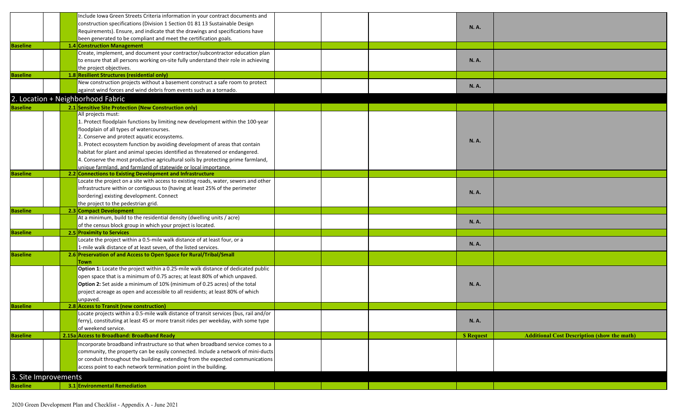|                      |  | Include Iowa Green Streets Criteria information in your contract documents and                                                                      |  |                  |                                                    |
|----------------------|--|-----------------------------------------------------------------------------------------------------------------------------------------------------|--|------------------|----------------------------------------------------|
|                      |  | construction specifications (Division 1 Section 01 81 13 Sustainable Design                                                                         |  | <b>N.A.</b>      |                                                    |
|                      |  | Requirements). Ensure, and indicate that the drawings and specifications have                                                                       |  |                  |                                                    |
|                      |  | been generated to be compliant and meet the certification goals.                                                                                    |  |                  |                                                    |
| <b>Baseline</b>      |  | 1.4 Construction Management                                                                                                                         |  |                  |                                                    |
|                      |  | Create, implement, and document your contractor/subcontractor education plan                                                                        |  |                  |                                                    |
|                      |  | to ensure that all persons working on-site fully understand their role in achieving                                                                 |  | <b>N.A.</b>      |                                                    |
|                      |  | the project objectives.                                                                                                                             |  |                  |                                                    |
| <b>Baseline</b>      |  | 1.8 Resilient Structures (residential only)                                                                                                         |  |                  |                                                    |
|                      |  | New construction projects without a basement construct a safe room to protect                                                                       |  |                  |                                                    |
|                      |  | against wind forces and wind debris from events such as a tornado.                                                                                  |  | N. A.            |                                                    |
|                      |  | 2. Location + Neighborhood Fabric                                                                                                                   |  |                  |                                                    |
| <b>Baseline</b>      |  | 2.1 Sensitive Site Protection (New Construction only)                                                                                               |  |                  |                                                    |
|                      |  | All projects must:                                                                                                                                  |  |                  |                                                    |
|                      |  | 1. Protect floodplain functions by limiting new development within the 100-year                                                                     |  |                  |                                                    |
|                      |  | floodplain of all types of watercourses.                                                                                                            |  |                  |                                                    |
|                      |  | 2. Conserve and protect aquatic ecosystems.                                                                                                         |  |                  |                                                    |
|                      |  | 3. Protect ecosystem function by avoiding development of areas that contain                                                                         |  | <b>N.A.</b>      |                                                    |
|                      |  | habitat for plant and animal species identified as threatened or endangered.                                                                        |  |                  |                                                    |
|                      |  |                                                                                                                                                     |  |                  |                                                    |
|                      |  | 4. Conserve the most productive agricultural soils by protecting prime farmland,<br>unique farmland, and farmland of statewide or local importance. |  |                  |                                                    |
| <b>Baseline</b>      |  | 2.2 Connections to Existing Development and Infrastructure                                                                                          |  |                  |                                                    |
|                      |  | Locate the project on a site with access to existing roads, water, sewers and other                                                                 |  |                  |                                                    |
|                      |  | infrastructure within or contiguous to (having at least 25% of the perimeter                                                                        |  |                  |                                                    |
|                      |  | bordering) existing development. Connect                                                                                                            |  | <b>N.A.</b>      |                                                    |
|                      |  | the project to the pedestrian grid.                                                                                                                 |  |                  |                                                    |
| <b>Baseline</b>      |  | 2.3 Compact Development                                                                                                                             |  |                  |                                                    |
|                      |  | At a minimum, build to the residential density (dwelling units / acre)                                                                              |  |                  |                                                    |
|                      |  | of the census block group in which your project is located.                                                                                         |  | <b>N.A.</b>      |                                                    |
| <b>Baseline</b>      |  | 2.5 Proximity to Services                                                                                                                           |  |                  |                                                    |
|                      |  | Locate the project within a 0.5-mile walk distance of at least four, or a                                                                           |  |                  |                                                    |
|                      |  | 1-mile walk distance of at least seven, of the listed services.                                                                                     |  | N. A.            |                                                    |
| <b>Baseline</b>      |  | 2.6 Preservation of and Access to Open Space for Rural/Tribal/Small                                                                                 |  |                  |                                                    |
|                      |  | <b>own</b>                                                                                                                                          |  |                  |                                                    |
|                      |  | Option 1: Locate the project within a 0.25-mile walk distance of dedicated public                                                                   |  |                  |                                                    |
|                      |  | open space that is a minimum of 0.75 acres; at least 80% of which unpaved.                                                                          |  |                  |                                                    |
|                      |  | Option 2: Set aside a minimum of 10% (minimum of 0.25 acres) of the total                                                                           |  | N. A.            |                                                    |
|                      |  | project acreage as open and accessible to all residents; at least 80% of which                                                                      |  |                  |                                                    |
|                      |  | unpaved.                                                                                                                                            |  |                  |                                                    |
| <b>Baseline</b>      |  | 2.8 Access to Transit (new construction)                                                                                                            |  |                  |                                                    |
|                      |  | Locate projects within a 0.5-mile walk distance of transit services (bus, rail and/or                                                               |  |                  |                                                    |
|                      |  | ferry), constituting at least 45 or more transit rides per weekday, with some type                                                                  |  | <b>N.A.</b>      |                                                    |
|                      |  | of weekend service.                                                                                                                                 |  |                  |                                                    |
| <b>Baseline</b>      |  | 2.15a Access to Broadband: Broadband Ready                                                                                                          |  | <b>S</b> Request | <b>Additional Cost Description (show the math)</b> |
|                      |  | Incorporate broadband infrastructure so that when broadband service comes to a                                                                      |  |                  |                                                    |
|                      |  | community, the property can be easily connected. Include a network of mini-ducts                                                                    |  |                  |                                                    |
|                      |  | or conduit throughout the building, extending from the expected communications                                                                      |  |                  |                                                    |
|                      |  | access point to each network termination point in the building.                                                                                     |  |                  |                                                    |
|                      |  |                                                                                                                                                     |  |                  |                                                    |
| 3. Site Improvements |  |                                                                                                                                                     |  |                  |                                                    |
| <b>Baseline</b>      |  | 3.1 Environmental Remediation                                                                                                                       |  |                  |                                                    |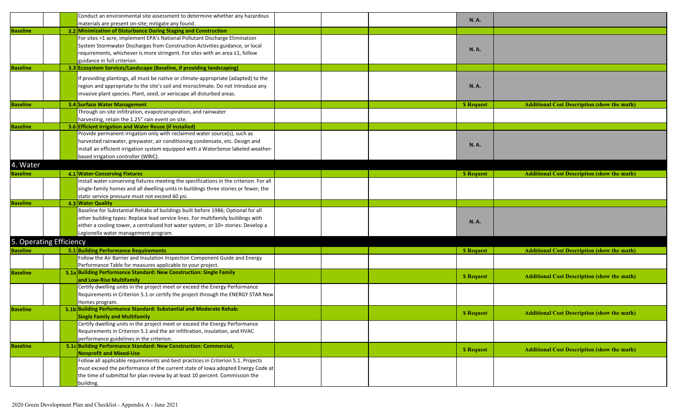|                         | Conduct an environmental site assessment to determine whether any hazardous            |  | <b>N.A.</b>      |                                                    |
|-------------------------|----------------------------------------------------------------------------------------|--|------------------|----------------------------------------------------|
|                         | materials are present on-site; mitigate any found.                                     |  |                  |                                                    |
| <b>Baseline</b>         | 3.2 Minimization of Disturbance During Staging and Construction                        |  |                  |                                                    |
|                         | For sites >1 acre, implement EPA's National Pollutant Discharge Elimination            |  |                  |                                                    |
|                         | System Stormwater Discharges from Construction Activities guidance, or local           |  |                  |                                                    |
|                         | requirements, whichever is more stringent. For sites with an area ≤1, follow           |  | N. A.            |                                                    |
|                         | guidance in full criterion.                                                            |  |                  |                                                    |
| <b>Baseline</b>         | 3.3 Ecosystem Services/Landscape (Baseline, if providing landscaping)                  |  |                  |                                                    |
|                         |                                                                                        |  |                  |                                                    |
|                         | If providing plantings, all must be native or climate-appropriate (adapted) to the     |  |                  |                                                    |
|                         | region and appropriate to the site's soil and microclimate. Do not introduce any       |  | N. A.            |                                                    |
|                         | invasive plant species. Plant, seed, or xeriscape all disturbed areas.                 |  |                  |                                                    |
| <b>Baseline</b>         | 3.4 Surface Water Management                                                           |  | <b>S</b> Request | <b>Additional Cost Description (show the math)</b> |
|                         | Through on-site infiltration, evapotranspiration, and rainwater                        |  |                  |                                                    |
|                         | harvesting, retain the 1.25" rain event on site.                                       |  |                  |                                                    |
| <b>Baseline</b>         | 3.6 Efficient Irrigation and Water Reuse (if installed)                                |  |                  |                                                    |
|                         | Provide permanent irrigation only with reclaimed water source(s), such as              |  |                  |                                                    |
|                         | harvested rainwater, greywater, air conditioning condensate, etc. Design and           |  |                  |                                                    |
|                         | install an efficient irrigation system equipped with a WaterSense labeled weather-     |  | <b>N.A.</b>      |                                                    |
|                         | based irrigation controller (WBIC).                                                    |  |                  |                                                    |
| <b>Water</b>            |                                                                                        |  |                  |                                                    |
|                         |                                                                                        |  |                  |                                                    |
| <b>Baseline</b>         | 4.1 Water-Conserving Fixtures                                                          |  | <b>S</b> Request | <b>Additional Cost Description (show the math)</b> |
|                         | Install water-conserving fixtures meeting the specifications in the criterion. For all |  |                  |                                                    |
|                         | single-family homes and all dwelling units in buildings three stories or fewer, the    |  |                  |                                                    |
|                         | static service pressure must not exceed 60 psi.                                        |  |                  |                                                    |
| <b>Baseline</b>         | 4.3 Water Quality                                                                      |  |                  |                                                    |
|                         | Baseline for Substantial Rehabs of buildings built before 1986; Optional for all       |  |                  |                                                    |
|                         | other building types: Replace lead service lines. For multifamily buildings with       |  | <b>N.A.</b>      |                                                    |
|                         | either a cooling tower, a centralized hot water system, or 10+ stories: Develop a      |  |                  |                                                    |
|                         | Legionella water management program.                                                   |  |                  |                                                    |
| 5. Operating Efficiency |                                                                                        |  |                  |                                                    |
| <b>Baseline</b>         | 5.1 Building Performance Requirements                                                  |  | <b>S</b> Request | <b>Additional Cost Description (show the math)</b> |
|                         | Follow the Air Barrier and Insulation Inspection Component Guide and Energy            |  |                  |                                                    |
|                         | Performance Table for measures applicable to your project.                             |  |                  |                                                    |
| <b>Baseline</b>         | 5.1a Building Performance Standard: New Construction: Single Family                    |  |                  |                                                    |
|                         | and Low-Rise Multifamily                                                               |  | <b>S</b> Request | <b>Additional Cost Description (show the math)</b> |
|                         | Certify dwelling units in the project meet or exceed the Energy Performance            |  |                  |                                                    |
|                         | Requirements in Criterion 5.1 or certify the project through the ENERGY STAR New       |  |                  |                                                    |
|                         | Homes program.                                                                         |  |                  |                                                    |
| <b>Baseline</b>         | 5.1b Building Performance Standard: Substantial and Moderate Rehab:                    |  |                  |                                                    |
|                         | <b>Single Family and Multifamily</b>                                                   |  | <b>S</b> Request | <b>Additional Cost Description (show the math)</b> |
|                         | Certify dwelling units in the project meet or exceed the Energy Performance            |  |                  |                                                    |
|                         | Requirements in Criterion 5.1 and the air infiltration, insulation, and HVAC           |  |                  |                                                    |
|                         | performance guidelines in the criterion.                                               |  |                  |                                                    |
| <b>Baseline</b>         | 5.1c Building Performance Standard: New Construction: Commercial,                      |  |                  |                                                    |
|                         | <b>Nonprofit and Mixed-Use</b>                                                         |  | <b>S</b> Request | <b>Additional Cost Description (show the math)</b> |
|                         | Follow all applicable requirements and best practices in Criterion 5.1. Projects       |  |                  |                                                    |
|                         | must exceed the performance of the current state of Iowa adopted Energy Code at        |  |                  |                                                    |
|                         | the time of submittal for plan review by at least 10 percent. Commission the           |  |                  |                                                    |
|                         | building.                                                                              |  |                  |                                                    |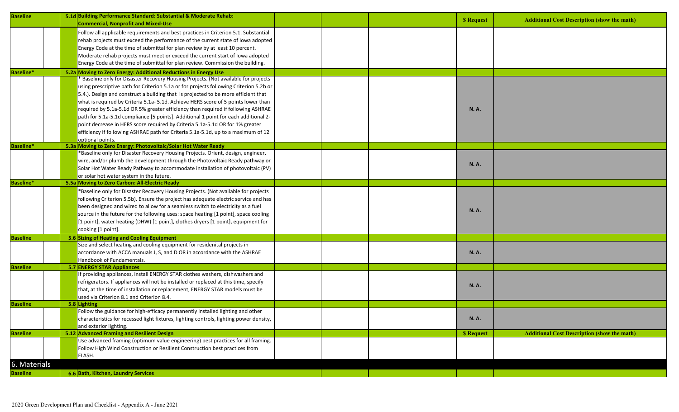| <b>Baseline</b>  |  | 5.1d Building Performance Standard: Substantial & Moderate Rehab:<br><b>Commercial, Nonprofit and Mixed-Use</b> |  | <b>S</b> Request | <b>Additional Cost Description (show the math)</b> |
|------------------|--|-----------------------------------------------------------------------------------------------------------------|--|------------------|----------------------------------------------------|
|                  |  | Follow all applicable requirements and best practices in Criterion 5.1. Substantial                             |  |                  |                                                    |
|                  |  | rehab projects must exceed the performance of the current state of lowa adopted                                 |  |                  |                                                    |
|                  |  | Energy Code at the time of submittal for plan review by at least 10 percent.                                    |  |                  |                                                    |
|                  |  | Moderate rehab projects must meet or exceed the current start of lowa adopted                                   |  |                  |                                                    |
|                  |  | Energy Code at the time of submittal for plan review. Commission the building.                                  |  |                  |                                                    |
| <b>Baseline*</b> |  | 5.2a Moving to Zero Energy: Additional Reductions in Energy Use                                                 |  |                  |                                                    |
|                  |  | <b>Baseline only for Disaster Recovery Housing Projects. (Not available for projects</b>                        |  |                  |                                                    |
|                  |  | using prescriptive path for Criterion 5.1a or for projects following Criterion 5.2b or                          |  |                  |                                                    |
|                  |  | 5.4.). Design and construct a building that is projected to be more efficient that                              |  |                  |                                                    |
|                  |  | what is required by Criteria 5.1a- 5.1d. Achieve HERS score of 5 points lower than                              |  |                  |                                                    |
|                  |  | required by 5.1a-5.1d OR 5% greater efficiency than required if following ASHRAE                                |  | <b>N.A.</b>      |                                                    |
|                  |  | path for 5.1a-5.1d compliance [5 points]. Additional 1 point for each additional 2-                             |  |                  |                                                    |
|                  |  | point decrease in HERS score required by Criteria 5.1a-5.1d OR for 1% greater                                   |  |                  |                                                    |
|                  |  | efficiency if following ASHRAE path for Criteria 5.1a-5.1d, up to a maximum of 12                               |  |                  |                                                    |
|                  |  | optional points.                                                                                                |  |                  |                                                    |
| <b>Baseline*</b> |  | 5.3a Moving to Zero Energy: Photovoltaic/Solar Hot Water Ready                                                  |  |                  |                                                    |
|                  |  | *Baseline only for Disaster Recovery Housing Projects. Orient, design, engineer,                                |  |                  |                                                    |
|                  |  | wire, and/or plumb the development through the Photovoltaic Ready pathway or                                    |  | <b>N.A.</b>      |                                                    |
|                  |  | Solar Hot Water Ready Pathway to accommodate installation of photovoltaic (PV)                                  |  |                  |                                                    |
|                  |  | or solar hot water system in the future.                                                                        |  |                  |                                                    |
| <b>Baseline*</b> |  | 5.5a Moving to Zero Carbon: All-Electric Ready                                                                  |  |                  |                                                    |
|                  |  | *Baseline only for Disaster Recovery Housing Projects. (Not available for projects                              |  |                  |                                                    |
|                  |  | following Criterion 5.5b). Ensure the project has adequate electric service and has                             |  |                  |                                                    |
|                  |  | been designed and wired to allow for a seamless switch to electricity as a fuel                                 |  | <b>N.A.</b>      |                                                    |
|                  |  | source in the future for the following uses: space heating [1 point], space cooling                             |  |                  |                                                    |
|                  |  | [1 point], water heating (DHW) [1 point], clothes dryers [1 point], equipment for                               |  |                  |                                                    |
|                  |  | cooking [1 point].                                                                                              |  |                  |                                                    |
| <b>Baseline</b>  |  | 5.6 Sizing of Heating and Cooling Equipment                                                                     |  |                  |                                                    |
|                  |  | Size and select heating and cooling equipment for residenital projects in                                       |  |                  |                                                    |
|                  |  | accordance with ACCA manuals J, S, and D OR in accordance with the ASHRAE                                       |  | N. A.            |                                                    |
|                  |  | Handbook of Fundamentals.                                                                                       |  |                  |                                                    |
| <b>Baseline</b>  |  | 5.7 ENERGY STAR Appliances                                                                                      |  |                  |                                                    |
|                  |  | If providing appliances, install ENERGY STAR clothes washers, dishwashers and                                   |  |                  |                                                    |
|                  |  | refrigerators. If appliances will not be installed or replaced at this time, specify                            |  | <b>N.A.</b>      |                                                    |
|                  |  | that, at the time of installation or replacement, ENERGY STAR models must be                                    |  |                  |                                                    |
|                  |  | used via Criterion 8.1 and Criterion 8.4.                                                                       |  |                  |                                                    |
| <b>Baseline</b>  |  | 5.8 Lighting<br>Follow the guidance for high-efficacy permanently installed lighting and other                  |  |                  |                                                    |
|                  |  | characteristics for recessed light fixtures, lighting controls, lighting power density,                         |  | <b>N.A.</b>      |                                                    |
|                  |  | and exterior lighting.                                                                                          |  |                  |                                                    |
| <b>Baseline</b>  |  | 5.12 Advanced Framing and Resilient Design                                                                      |  | <b>S</b> Request | <b>Additional Cost Description (show the math)</b> |
|                  |  | Use advanced framing (optimum value engineering) best practices for all framing.                                |  |                  |                                                    |
|                  |  | Follow High Wind Construction or Resilient Construction best practices from                                     |  |                  |                                                    |
|                  |  | FLASH.                                                                                                          |  |                  |                                                    |
| 6. Materials     |  |                                                                                                                 |  |                  |                                                    |
|                  |  |                                                                                                                 |  |                  |                                                    |
| <b>Baseline</b>  |  | 6.6 Bath, Kitchen, Laundry Services                                                                             |  |                  |                                                    |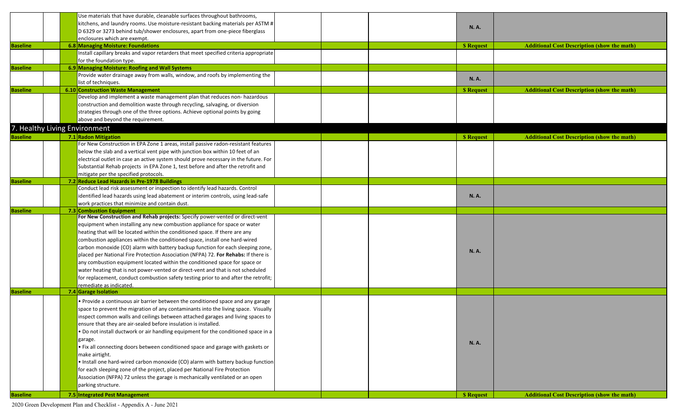|                 |  | Use materials that have durable, cleanable surfaces throughout bathrooms,             |  |                  |                                                    |
|-----------------|--|---------------------------------------------------------------------------------------|--|------------------|----------------------------------------------------|
|                 |  | kitchens, and laundry rooms. Use moisture-resistant backing materials per ASTM #      |  |                  |                                                    |
|                 |  | D 6329 or 3273 behind tub/shower enclosures, apart from one-piece fiberglass          |  | <b>N.A.</b>      |                                                    |
|                 |  | enclosures which are exempt.                                                          |  |                  |                                                    |
| <b>Baseline</b> |  | 6.8 Managing Moisture: Foundations                                                    |  | <b>S</b> Request | <b>Additional Cost Description (show the math)</b> |
|                 |  | Install capillary breaks and vapor retarders that meet specified criteria appropriate |  |                  |                                                    |
|                 |  | for the foundation type.                                                              |  |                  |                                                    |
| <b>Baseline</b> |  | 6.9 Managing Moisture: Roofing and Wall Systems                                       |  |                  |                                                    |
|                 |  | Provide water drainage away from walls, window, and roofs by implementing the         |  | <b>N.A.</b>      |                                                    |
|                 |  | list of techniques.                                                                   |  |                  |                                                    |
| <b>Baseline</b> |  | 6.10 Construction Waste Management                                                    |  | <b>S</b> Request | <b>Additional Cost Description (show the math)</b> |
|                 |  | Develop and implement a waste management plan that reduces non- hazardous             |  |                  |                                                    |
|                 |  | construction and demolition waste through recycling, salvaging, or diversion          |  |                  |                                                    |
|                 |  | strategies through one of the three options. Achieve optional points by going         |  |                  |                                                    |
|                 |  | above and beyond the requirement.                                                     |  |                  |                                                    |
|                 |  | 7. Healthy Living Environment                                                         |  |                  |                                                    |
| <b>Baseline</b> |  | 7.1 Radon Mitigation                                                                  |  | <b>S</b> Request | <b>Additional Cost Description (show the math)</b> |
|                 |  | For New Construction in EPA Zone 1 areas, install passive radon-resistant features    |  |                  |                                                    |
|                 |  | below the slab and a vertical vent pipe with junction box within 10 feet of an        |  |                  |                                                    |
|                 |  | electrical outlet in case an active system should prove necessary in the future. For  |  |                  |                                                    |
|                 |  | Substantial Rehab projects in EPA Zone 1, test before and after the retrofit and      |  |                  |                                                    |
|                 |  | mitigate per the specified protocols.                                                 |  |                  |                                                    |
| <b>Baseline</b> |  | 7.2 Reduce Lead Hazards in Pre-1978 Buildings                                         |  |                  |                                                    |
|                 |  | Conduct lead risk assessment or inspection to identify lead hazards. Control          |  |                  |                                                    |
|                 |  | identified lead hazards using lead abatement or interim controls, using lead-safe     |  | <b>N.A.</b>      |                                                    |
|                 |  | work practices that minimize and contain dust.                                        |  |                  |                                                    |
| <b>Baseline</b> |  | 7.3 Combustion Equipment                                                              |  |                  |                                                    |
|                 |  | For New Construction and Rehab projects: Specify power-vented or direct-vent          |  |                  |                                                    |
|                 |  | equipment when installing any new combustion appliance for space or water             |  |                  |                                                    |
|                 |  | heating that will be located within the conditioned space. If there are any           |  |                  |                                                    |
|                 |  | combustion appliances within the conditioned space, install one hard-wired            |  |                  |                                                    |
|                 |  | carbon monoxide (CO) alarm with battery backup function for each sleeping zone,       |  |                  |                                                    |
|                 |  | placed per National Fire Protection Association (NFPA) 72. For Rehabs: If there is    |  | <b>N.A.</b>      |                                                    |
|                 |  | any combustion equipment located within the conditioned space for space or            |  |                  |                                                    |
|                 |  | water heating that is not power-vented or direct-vent and that is not scheduled       |  |                  |                                                    |
|                 |  | for replacement, conduct combustion safety testing prior to and after the retrofit;   |  |                  |                                                    |
|                 |  | remediate as indicated.                                                               |  |                  |                                                    |
| <b>Baseline</b> |  | 7.4 Garage Isolation                                                                  |  |                  |                                                    |
|                 |  | • Provide a continuous air barrier between the conditioned space and any garage       |  |                  |                                                    |
|                 |  | space to prevent the migration of any contaminants into the living space. Visually    |  |                  |                                                    |
|                 |  | inspect common walls and ceilings between attached garages and living spaces to       |  |                  |                                                    |
|                 |  | ensure that they are air-sealed before insulation is installed.                       |  |                  |                                                    |
|                 |  | . Do not install ductwork or air handling equipment for the conditioned space in a    |  |                  |                                                    |
|                 |  | garage.                                                                               |  |                  |                                                    |
|                 |  | • Fix all connecting doors between conditioned space and garage with gaskets or       |  | <b>N.A.</b>      |                                                    |
|                 |  | make airtight.                                                                        |  |                  |                                                    |
|                 |  | . Install one hard-wired carbon monoxide (CO) alarm with battery backup function      |  |                  |                                                    |
|                 |  | for each sleeping zone of the project, placed per National Fire Protection            |  |                  |                                                    |
|                 |  | Association (NFPA) 72 unless the garage is mechanically ventilated or an open         |  |                  |                                                    |
|                 |  |                                                                                       |  |                  |                                                    |
|                 |  |                                                                                       |  |                  |                                                    |
| <b>Baseline</b> |  | parking structure.<br>7.5 Integrated Pest Management                                  |  | <b>S</b> Request | <b>Additional Cost Description (show the math)</b> |

2020 Green Development Plan and Checklist - Appendix A - June 2021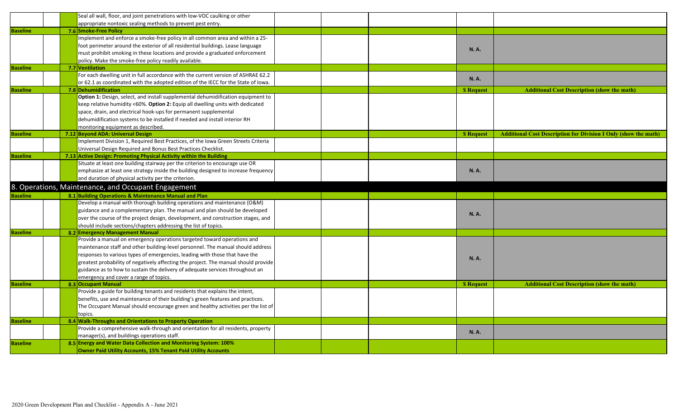|                 |  | Seal all wall, floor, and joint penetrations with low-VOC caulking or other         |  |                  |                                                                        |
|-----------------|--|-------------------------------------------------------------------------------------|--|------------------|------------------------------------------------------------------------|
|                 |  | appropriate nontoxic sealing methods to prevent pest entry.                         |  |                  |                                                                        |
| <b>Baseline</b> |  | 7.6 Smoke-Free Policy                                                               |  |                  |                                                                        |
|                 |  | Implement and enforce a smoke-free policy in all common area and within a 25-       |  |                  |                                                                        |
|                 |  | foot perimeter around the exterior of all residential buildings. Lease language     |  | <b>N.A.</b>      |                                                                        |
|                 |  | must prohibit smoking in these locations and provide a graduated enforcement        |  |                  |                                                                        |
|                 |  | policy. Make the smoke-free policy readily available.                               |  |                  |                                                                        |
| <b>Baseline</b> |  | 7.7 Ventilation                                                                     |  |                  |                                                                        |
|                 |  | For each dwelling unit in full accordance with the current version of ASHRAE 62.2   |  |                  |                                                                        |
|                 |  | or 62.1 as coordinated with the adopted edition of the IECC for the State of Iowa.  |  | <b>N.A.</b>      |                                                                        |
| <b>Baseline</b> |  | 7.8 Dehumidification                                                                |  | <b>S</b> Request | <b>Additional Cost Description (show the math)</b>                     |
|                 |  | Option 1: Design, select, and install supplemental dehumidification equipment to    |  |                  |                                                                        |
|                 |  | keep relative humidity <60%. Option 2: Equip all dwelling units with dedicated      |  |                  |                                                                        |
|                 |  | space, drain, and electrical hook-ups for permanent supplemental                    |  |                  |                                                                        |
|                 |  | dehumidification systems to be installed if needed and install interior RH          |  |                  |                                                                        |
|                 |  | monitoring equipment as described.                                                  |  |                  |                                                                        |
| <b>Baseline</b> |  | 7.12 Beyond ADA: Universal Design                                                   |  | <b>S</b> Request | <b>Additional Cost Description for Division I Only (show the math)</b> |
|                 |  | Implement Division 1, Required Best Practices, of the Iowa Green Streets Criteria   |  |                  |                                                                        |
|                 |  | Universal Design Required and Bonus Best Practices Checklist.                       |  |                  |                                                                        |
| <b>Baseline</b> |  | 7.13 Active Design: Promoting Physical Activity within the Building                 |  |                  |                                                                        |
|                 |  | Situate at least one building stairway per the criterion to encourage use OR        |  |                  |                                                                        |
|                 |  | emphasize at least one strategy inside the building designed to increase frequency  |  | <b>N.A.</b>      |                                                                        |
|                 |  | and duration of physical activity per the criterion.                                |  |                  |                                                                        |
|                 |  | 8. Operations, Maintenance, and Occupant Engagement                                 |  |                  |                                                                        |
| <b>Baseline</b> |  | 8.1 Building Operations & Maintenance Manual and Plan                               |  |                  |                                                                        |
|                 |  | Develop a manual with thorough building operations and maintenance (O&M)            |  |                  |                                                                        |
|                 |  | guidance and a complementary plan. The manual and plan should be developed          |  |                  |                                                                        |
|                 |  | over the course of the project design, development, and construction stages, and    |  | <b>N.A.</b>      |                                                                        |
|                 |  | should include sections/chapters addressing the list of topics.                     |  |                  |                                                                        |
| <b>Baseline</b> |  | 8.2 Emergency Management Manual                                                     |  |                  |                                                                        |
|                 |  | Provide a manual on emergency operations targeted toward operations and             |  |                  |                                                                        |
|                 |  | maintenance staff and other building-level personnel. The manual should address     |  |                  |                                                                        |
|                 |  | responses to various types of emergencies, leading with those that have the         |  |                  |                                                                        |
|                 |  | greatest probability of negatively affecting the project. The manual should provide |  | <b>N.A.</b>      |                                                                        |
|                 |  | guidance as to how to sustain the delivery of adequate services throughout an       |  |                  |                                                                        |
|                 |  | emergency and cover a range of topics.                                              |  |                  |                                                                        |
| <b>Baseline</b> |  | 8.3 Occupant Manual                                                                 |  | <b>S</b> Request | <b>Additional Cost Description (show the math)</b>                     |
|                 |  | Provide a guide for building tenants and residents that explains the intent,        |  |                  |                                                                        |
|                 |  | benefits, use and maintenance of their building's green features and practices.     |  |                  |                                                                        |
|                 |  | The Occupant Manual should encourage green and healthy activities per the list of   |  |                  |                                                                        |
|                 |  | topics.                                                                             |  |                  |                                                                        |
| <b>Baseline</b> |  | 8.4 Walk-Throughs and Orientations to Property Operation                            |  |                  |                                                                        |
|                 |  | Provide a comprehensive walk-through and orientation for all residents, property    |  |                  |                                                                        |
|                 |  | manager(s), and buildings operations staff.                                         |  | <b>N.A.</b>      |                                                                        |
| <b>Baseline</b> |  |                                                                                     |  |                  |                                                                        |
|                 |  | 8.5 Energy and Water Data Collection and Monitoring System: 100%                    |  |                  |                                                                        |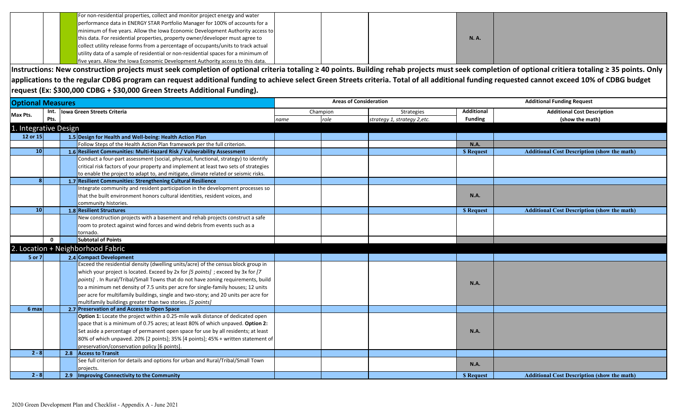|  | For non-residential properties, collect and monitor project energy and water       |  |             |  |
|--|------------------------------------------------------------------------------------|--|-------------|--|
|  | performance data in ENERGY STAR Portfolio Manager for 100% of accounts for a       |  |             |  |
|  | minimum of five years. Allow the Iowa Economic Development Authority access to     |  |             |  |
|  | this data. For residential properties, property owner/developer must agree to      |  | <b>N.A.</b> |  |
|  | collect utility release forms from a percentage of occupants/units to track actual |  |             |  |
|  | utility data of a sample of residential or non-residential spaces for a minimum of |  |             |  |
|  | five years. Allow the Iowa Economic Development Authority access to this data.     |  |             |  |

**Instructions: New construction projects must seek completion of optional criteria totaling ≥ 40 points. Building rehab projects must seek completion of optional critiera totaling ≥ 35 points. Only applications to the regular CDBG program can request additional funding to achieve select Green Streets criteria. Total of all additional funding requested cannot exceed 10% of CDBG budget request (Ex: \$300,000 CDBG + \$30,000 Green Streets Additional Funding).**

| <b>Optional Measures</b> |              |                                                                                      | <b>Areas of Consideration</b> |          |                              |                   | <b>Additional Funding Request</b>                  |  |  |
|--------------------------|--------------|--------------------------------------------------------------------------------------|-------------------------------|----------|------------------------------|-------------------|----------------------------------------------------|--|--|
| Max Pts.                 |              | Int. lowa Green Streets Criteria                                                     |                               | Champion | Strategies                   | <b>Additional</b> | <b>Additional Cost Description</b>                 |  |  |
|                          | Pts.         |                                                                                      | name                          | role     | strategy 1, strategy 2, etc. | <b>Funding</b>    | (show the math)                                    |  |  |
| 1. Integrative Design    |              |                                                                                      |                               |          |                              |                   |                                                    |  |  |
| 12 or 15                 |              | 1.5 Design for Health and Well-being: Health Action Plan                             |                               |          |                              |                   |                                                    |  |  |
|                          |              | Follow Steps of the Health Action Plan framework per the full criterion.             |                               |          |                              | N.A.              |                                                    |  |  |
| 10 <sup>1</sup>          |              | 1.6 Resilient Communities: Multi-Hazard Risk / Vulnerability Assessment              |                               |          |                              | <b>S</b> Request  | <b>Additional Cost Description (show the math)</b> |  |  |
|                          |              | Conduct a four-part assessment (social, physical, functional, strategy) to identify  |                               |          |                              |                   |                                                    |  |  |
|                          |              | critical risk factors of your property and implement at least two sets of strategies |                               |          |                              |                   |                                                    |  |  |
|                          |              | to enable the project to adapt to, and mitigate, climate related or seismic risks.   |                               |          |                              |                   |                                                    |  |  |
| 8                        |              | 1.7 Resilient Communities: Strengthening Cultural Resilience                         |                               |          |                              |                   |                                                    |  |  |
|                          |              | Integrate community and resident participation in the development processes so       |                               |          |                              |                   |                                                    |  |  |
|                          |              | that the built environment honors cultural identities, resident voices, and          |                               |          |                              | N.A.              |                                                    |  |  |
|                          |              | community histories.                                                                 |                               |          |                              |                   |                                                    |  |  |
| 10 <sup>1</sup>          |              | 1.8 Resilient Structures                                                             |                               |          |                              | <b>S</b> Request  | <b>Additional Cost Description (show the math)</b> |  |  |
|                          |              | New construction projects with a basement and rehab projects construct a safe        |                               |          |                              |                   |                                                    |  |  |
|                          |              | room to protect against wind forces and wind debris from events such as a            |                               |          |                              |                   |                                                    |  |  |
|                          |              | tornado.                                                                             |                               |          |                              |                   |                                                    |  |  |
|                          | $\mathbf{0}$ | <b>Subtotal of Points</b>                                                            |                               |          |                              |                   |                                                    |  |  |
|                          |              | 2. Location + Neighborhood Fabric                                                    |                               |          |                              |                   |                                                    |  |  |
| 5 or 7                   |              | 2.4 Compact Development                                                              |                               |          |                              |                   |                                                    |  |  |
|                          |              | Exceed the residential density (dwelling units/acre) of the census block group in    |                               |          |                              |                   |                                                    |  |  |
|                          |              | which your project is located. Exceed by 2x for [5 points]; exceed by 3x for [7      |                               |          |                              |                   |                                                    |  |  |
|                          |              | points] . In Rural/Tribal/Small Towns that do not have zoning requirements, build    |                               |          |                              | <b>N.A.</b>       |                                                    |  |  |
|                          |              | to a minimum net density of 7.5 units per acre for single-family houses; 12 units    |                               |          |                              |                   |                                                    |  |  |
|                          |              | per acre for multifamily buildings, single and two-story; and 20 units per acre for  |                               |          |                              |                   |                                                    |  |  |
|                          |              | multifamily buildings greater than two stories. [5 points]                           |                               |          |                              |                   |                                                    |  |  |
| 6 max                    |              | 2.7 Preservation of and Access to Open Space                                         |                               |          |                              |                   |                                                    |  |  |
|                          |              | Option 1: Locate the project within a 0.25-mile walk distance of dedicated open      |                               |          |                              |                   |                                                    |  |  |
|                          |              | space that is a minimum of 0.75 acres; at least 80% of which unpaved. Option 2:      |                               |          |                              |                   |                                                    |  |  |
|                          |              | Set aside a percentage of permanent open space for use by all residents; at least    |                               |          |                              | <b>N.A.</b>       |                                                    |  |  |
|                          |              | 80% of which unpaved. 20% [2 points]; 35% [4 points]; 45% + written statement of     |                               |          |                              |                   |                                                    |  |  |
|                          |              | preservation/conservation policy [6 points].                                         |                               |          |                              |                   |                                                    |  |  |
| $2 - 8$                  |              | 2.8<br><b>Access to Transit</b>                                                      |                               |          |                              |                   |                                                    |  |  |
|                          |              | See full criterion for details and options for urban and Rural/Tribal/Small Town     |                               |          |                              | <b>N.A.</b>       |                                                    |  |  |
|                          |              | projects.                                                                            |                               |          |                              |                   |                                                    |  |  |
| $2 - 8$                  |              | 2.9   Improving Connectivity to the Community                                        |                               |          |                              | <b>S</b> Request  | <b>Additional Cost Description (show the math)</b> |  |  |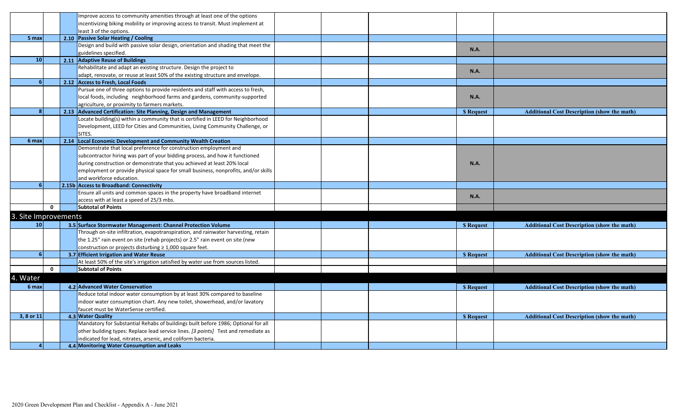|                      |              | Improve access to community amenities through at least one of the options          |  |                  |                                                    |
|----------------------|--------------|------------------------------------------------------------------------------------|--|------------------|----------------------------------------------------|
|                      |              | incentivizing biking mobility or improving access to transit. Must implement at    |  |                  |                                                    |
|                      |              | least 3 of the options.                                                            |  |                  |                                                    |
| 5 max                |              | 2.10 Passive Solar Heating / Cooling                                               |  |                  |                                                    |
|                      |              | Design and build with passive solar design, orientation and shading that meet the  |  |                  |                                                    |
|                      |              | guidelines specified.                                                              |  | N.A.             |                                                    |
| 10                   |              | 2.11 Adaptive Reuse of Buildings                                                   |  |                  |                                                    |
|                      |              | Rehabilitate and adapt an existing structure. Design the project to                |  |                  |                                                    |
|                      |              | adapt, renovate, or reuse at least 50% of the existing structure and envelope.     |  | N.A.             |                                                    |
| 6                    |              | 2.12 Access to Fresh, Local Foods                                                  |  |                  |                                                    |
|                      |              | Pursue one of three options to provide residents and staff with access to fresh,   |  |                  |                                                    |
|                      |              | local foods, including neighborhood farms and gardens, community-supported         |  | N.A.             |                                                    |
|                      |              | agriculture, or proximity to farmers markets.                                      |  |                  |                                                    |
| $\mathbf{8}$         |              | 2.13 Advanced Certification: Site Planning, Design and Management                  |  | <b>S</b> Request | <b>Additional Cost Description (show the math)</b> |
|                      |              | Locate building(s) within a community that is certified in LEED for Neighborhood   |  |                  |                                                    |
|                      |              | Development, LEED for Cities and Communities, Living Community Challenge, or       |  |                  |                                                    |
|                      |              | SITES.                                                                             |  |                  |                                                    |
| 6 max                |              | 2.14 Local Economic Development and Community Wealth Creation                      |  |                  |                                                    |
|                      |              | Demonstrate that local preference for construction employment and                  |  |                  |                                                    |
|                      |              | subcontractor hiring was part of your bidding process, and how it functioned       |  |                  |                                                    |
|                      |              | during construction or demonstrate that you achieved at least 20% local            |  | N.A.             |                                                    |
|                      |              | employment or provide physical space for small business, nonprofits, and/or skills |  |                  |                                                    |
|                      |              | and workforce education.                                                           |  |                  |                                                    |
|                      |              | 2.15b Access to Broadband: Connectivity                                            |  |                  |                                                    |
|                      |              | Ensure all units and common spaces in the property have broadband internet         |  |                  |                                                    |
|                      |              | access with at least a speed of 25/3 mbs.                                          |  | <b>N.A.</b>      |                                                    |
|                      | $\mathbf 0$  | <b>Subtotal of Points</b>                                                          |  |                  |                                                    |
| 3. Site Improvements |              |                                                                                    |  |                  |                                                    |
| 10 <sup>1</sup>      |              | 3.5 Surface Stormwater Management: Channel Protection Volume                       |  | \$ Request       | <b>Additional Cost Description (show the math)</b> |
|                      |              | Through on-site infiltration, evapotranspiration, and rainwater harvesting, retain |  |                  |                                                    |
|                      |              | the 1.25" rain event on site (rehab projects) or 2.5" rain event on site (new      |  |                  |                                                    |
|                      |              | construction or projects disturbing ≥ 1,000 square feet.                           |  |                  |                                                    |
| 6 <sup>1</sup>       |              | 3.7 Efficient Irrigation and Water Reuse                                           |  | <b>S</b> Request | <b>Additional Cost Description (show the math)</b> |
|                      |              | At least 50% of the site's irrigation satisfied by water use from sources listed.  |  |                  |                                                    |
|                      | $\mathbf{0}$ | <b>Subtotal of Points</b>                                                          |  |                  |                                                    |
|                      |              |                                                                                    |  |                  |                                                    |
| 4. Water             |              |                                                                                    |  |                  |                                                    |
| 6 max                |              | 4.2 Advanced Water Conservation                                                    |  | <b>S</b> Request | <b>Additional Cost Description (show the math)</b> |
|                      |              | Reduce total indoor water consumption by at least 30% compared to baseline         |  |                  |                                                    |
|                      |              | indoor water consumption chart. Any new toilet, showerhead, and/or lavatory        |  |                  |                                                    |
|                      |              | faucet must be WaterSense certified.                                               |  |                  |                                                    |
| 3, 8 or 11           |              | 4.3 Water Quality                                                                  |  | \$ Request       | <b>Additional Cost Description (show the math)</b> |
|                      |              | Mandatory for Substantial Rehabs of buildings built before 1986; Optional for all  |  |                  |                                                    |
|                      |              | other building types: Replace lead service lines. [3 points] Test and remediate as |  |                  |                                                    |
|                      |              | indicated for lead, nitrates, arsenic, and coliform bacteria.                      |  |                  |                                                    |
|                      |              | 4.4 Monitoring Water Consumption and Leaks                                         |  |                  |                                                    |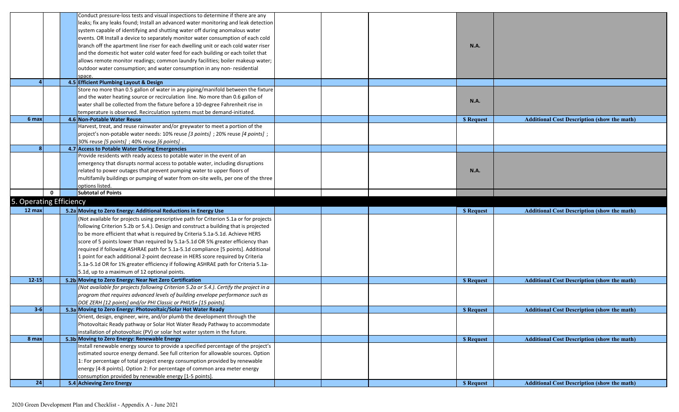|                         |              | Conduct pressure-loss tests and visual inspections to determine if there are any                                                                                |  |                  |                                                    |
|-------------------------|--------------|-----------------------------------------------------------------------------------------------------------------------------------------------------------------|--|------------------|----------------------------------------------------|
|                         |              | leaks; fix any leaks found; Install an advanced water monitoring and leak detection                                                                             |  |                  |                                                    |
|                         |              | system capable of identifying and shutting water off during anomalous water                                                                                     |  |                  |                                                    |
|                         |              | events. OR Install a device to separately monitor water consumption of each cold                                                                                |  |                  |                                                    |
|                         |              | branch off the apartment line riser for each dwelling unit or each cold water riser                                                                             |  | <b>N.A.</b>      |                                                    |
|                         |              | and the domestic hot water cold water feed for each building or each toilet that                                                                                |  |                  |                                                    |
|                         |              | allows remote monitor readings; common laundry facilities; boiler makeup water;                                                                                 |  |                  |                                                    |
|                         |              | outdoor water consumption; and water consumption in any non-residential                                                                                         |  |                  |                                                    |
|                         |              | space.                                                                                                                                                          |  |                  |                                                    |
|                         |              | 4.5 Efficient Plumbing Layout & Design                                                                                                                          |  |                  |                                                    |
|                         |              | Store no more than 0.5 gallon of water in any piping/manifold between the fixture                                                                               |  |                  |                                                    |
|                         |              | and the water heating source or recirculation line. No more than 0.6 gallon of                                                                                  |  |                  |                                                    |
|                         |              | water shall be collected from the fixture before a 10-degree Fahrenheit rise in                                                                                 |  | N.A.             |                                                    |
|                         |              | temperature is observed. Recirculation systems must be demand-initiated.                                                                                        |  |                  |                                                    |
| 6 max                   |              | 4.6 Non-Potable Water Reuse                                                                                                                                     |  | <b>S</b> Request | <b>Additional Cost Description (show the math)</b> |
|                         |              | Harvest, treat, and reuse rainwater and/or greywater to meet a portion of the                                                                                   |  |                  |                                                    |
|                         |              | project's non-potable water needs: 10% reuse [3 points]; 20% reuse [4 points];                                                                                  |  |                  |                                                    |
|                         |              | 30% reuse [5 points] ; 40% reuse [6 points] .                                                                                                                   |  |                  |                                                    |
| 8                       |              | 4.7 Access to Potable Water During Emergencies                                                                                                                  |  |                  |                                                    |
|                         |              | Provide residents with ready access to potable water in the event of an                                                                                         |  |                  |                                                    |
|                         |              | emergency that disrupts normal access to potable water, including disruptions                                                                                   |  |                  |                                                    |
|                         |              | related to power outages that prevent pumping water to upper floors of                                                                                          |  | <b>N.A.</b>      |                                                    |
|                         |              | multifamily buildings or pumping of water from on-site wells, per one of the three                                                                              |  |                  |                                                    |
|                         |              | options listed.                                                                                                                                                 |  |                  |                                                    |
|                         | $\mathbf{0}$ | Subtotal of Points                                                                                                                                              |  |                  |                                                    |
|                         |              |                                                                                                                                                                 |  |                  |                                                    |
| 5. Operating Efficiency |              |                                                                                                                                                                 |  |                  |                                                    |
| 12 max                  |              | 5.2a Moving to Zero Energy: Additional Reductions in Energy Use                                                                                                 |  | <b>S</b> Request | <b>Additional Cost Description (show the math)</b> |
|                         |              | (Not available for projects using prescriptive path for Criterion 5.1a or for projects                                                                          |  |                  |                                                    |
|                         |              |                                                                                                                                                                 |  |                  |                                                    |
|                         |              | following Criterion 5.2b or 5.4.). Design and construct a building that is projected                                                                            |  |                  |                                                    |
|                         |              | to be more efficient that what is required by Criteria 5.1a-5.1d. Achieve HERS                                                                                  |  |                  |                                                    |
|                         |              | score of 5 points lower than required by 5.1a-5.1d OR 5% greater efficiency than                                                                                |  |                  |                                                    |
|                         |              | required if following ASHRAE path for 5.1a-5.1d compliance [5 points]. Additional                                                                               |  |                  |                                                    |
|                         |              | 1 point for each additional 2-point decrease in HERS score required by Criteria                                                                                 |  |                  |                                                    |
|                         |              | 5.1a-5.1d OR for 1% greater efficiency if following ASHRAE path for Criteria 5.1a-                                                                              |  |                  |                                                    |
|                         |              | 5.1d, up to a maximum of 12 optional points.                                                                                                                    |  |                  |                                                    |
| $12 - 15$               |              | 5.2b Moving to Zero Energy: Near Net Zero Certification                                                                                                         |  | <b>S</b> Request | <b>Additional Cost Description (show the math)</b> |
|                         |              | (Not available for projects following Criterion 5.2a or 5.4.). Certify the project in a                                                                         |  |                  |                                                    |
|                         |              | program that requires advanced levels of building envelope performance such as                                                                                  |  |                  |                                                    |
|                         |              | DOE ZERH [12 points] and/or PHI Classic or PHIUS+ [15 points].                                                                                                  |  |                  |                                                    |
| $3 - 6$                 |              | 5.3a Moving to Zero Energy: Photovoltaic/Solar Hot Water Ready                                                                                                  |  | <b>S</b> Request | <b>Additional Cost Description (show the math)</b> |
|                         |              | Orient, design, engineer, wire, and/or plumb the development through the                                                                                        |  |                  |                                                    |
|                         |              | Photovoltaic Ready pathway or Solar Hot Water Ready Pathway to accommodate                                                                                      |  |                  |                                                    |
|                         |              |                                                                                                                                                                 |  |                  |                                                    |
| 8 max                   |              | installation of photovoltaic (PV) or solar hot water system in the future.<br>5.3b Moving to Zero Energy: Renewable Energy                                      |  |                  | <b>Additional Cost Description (show the math)</b> |
|                         |              | Install renewable energy source to provide a specified percentage of the project's                                                                              |  | <b>S</b> Request |                                                    |
|                         |              |                                                                                                                                                                 |  |                  |                                                    |
|                         |              | estimated source energy demand. See full criterion for allowable sources. Option<br>1: For percentage of total project energy consumption provided by renewable |  |                  |                                                    |
|                         |              |                                                                                                                                                                 |  |                  |                                                    |
|                         |              | energy [4-8 points]. Option 2: For percentage of common area meter energy<br>consumption provided by renewable energy [1-5 points].                             |  |                  |                                                    |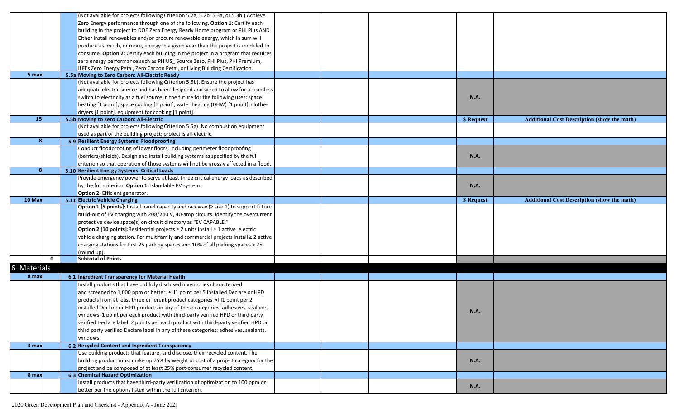|                 |             | (Not available for projects following Criterion 5.2a, 5.2b, 5.3a, or 5.3b.) Achieve               |  |                  |                                                    |
|-----------------|-------------|---------------------------------------------------------------------------------------------------|--|------------------|----------------------------------------------------|
|                 |             | Zero Energy performance through one of the following. Option 1: Certify each                      |  |                  |                                                    |
|                 |             | building in the project to DOE Zero Energy Ready Home program or PHI Plus AND                     |  |                  |                                                    |
|                 |             | Either install renewables and/or procure renewable energy, which in sum will                      |  |                  |                                                    |
|                 |             | produce as much, or more, energy in a given year than the project is modeled to                   |  |                  |                                                    |
|                 |             | consume. Option 2: Certify each building in the project in a program that requires                |  |                  |                                                    |
|                 |             | zero energy performance such as PHIUS_Source Zero, PHI Plus, PHI Premium,                         |  |                  |                                                    |
|                 |             | ILFI's Zero Energy Petal, Zero Carbon Petal, or Living Building Certification.                    |  |                  |                                                    |
| 5 max           |             | 5.5a Moving to Zero Carbon: All-Electric Ready                                                    |  |                  |                                                    |
|                 |             | (Not available for projects following Criterion 5.5b). Ensure the project has                     |  |                  |                                                    |
|                 |             | adequate electric service and has been designed and wired to allow for a seamless                 |  |                  |                                                    |
|                 |             | switch to electricity as a fuel source in the future for the following uses: space                |  | N.A.             |                                                    |
|                 |             | heating [1 point], space cooling [1 point], water heating (DHW) [1 point], clothes                |  |                  |                                                    |
|                 |             |                                                                                                   |  |                  |                                                    |
| 15 <sup>1</sup> |             | dryers [1 point], equipment for cooking [1 point].<br>5.5b Moving to Zero Carbon: All-Electric    |  |                  |                                                    |
|                 |             |                                                                                                   |  | <b>S</b> Request | <b>Additional Cost Description (show the math)</b> |
|                 |             | (Not available for projects following Criterion 5.5a). No combustion equipment                    |  |                  |                                                    |
|                 |             | used as part of the building project; project is all-electric.                                    |  |                  |                                                    |
| 8               |             | 5.9 Resilient Energy Systems: Floodproofing                                                       |  |                  |                                                    |
|                 |             | Conduct floodproofing of lower floors, including perimeter floodproofing                          |  |                  |                                                    |
|                 |             | (barriers/shields). Design and install building systems as specified by the full                  |  | <b>N.A.</b>      |                                                    |
|                 |             | criterion so that operation of those systems will not be grossly affected in a flood.             |  |                  |                                                    |
|                 |             | 5.10 Resilient Energy Systems: Critical Loads                                                     |  |                  |                                                    |
|                 |             | Provide emergency power to serve at least three critical energy loads as described                |  |                  |                                                    |
|                 |             | by the full criterion. Option 1: Islandable PV system.                                            |  | N.A.             |                                                    |
|                 |             | Option 2: Efficient generator.                                                                    |  |                  |                                                    |
| 10 Max          |             | 5.11 Electric Vehicle Charging                                                                    |  | <b>S</b> Request | <b>Additional Cost Description (show the math)</b> |
|                 |             | <b>Option 1 [5 points]:</b> Install panel capacity and raceway ( $\ge$ size 1) to support future  |  |                  |                                                    |
|                 |             | build-out of EV charging with 208/240 V, 40-amp circuits. Identify the overcurrent                |  |                  |                                                    |
|                 |             | protective device space(s) on circuit directory as "EV CAPABLE."                                  |  |                  |                                                    |
|                 |             | <b>Option 2 [10 points]:</b> Residential projects $\geq$ 2 units install $\geq$ 1 active electric |  |                  |                                                    |
|                 |             | vehicle charging station. For multifamily and commercial projects install ≥ 2 active              |  |                  |                                                    |
|                 |             | charging stations for first 25 parking spaces and 10% of all parking spaces > 25                  |  |                  |                                                    |
|                 |             | (round up).                                                                                       |  |                  |                                                    |
|                 | $\mathbf 0$ | <b>Subtotal of Points</b>                                                                         |  |                  |                                                    |
| 6. Materials    |             |                                                                                                   |  |                  |                                                    |
| 8 max           |             | 6.1 Ingredient Transparency for Material Health                                                   |  |                  |                                                    |
|                 |             |                                                                                                   |  |                  |                                                    |
|                 |             | Install products that have publicly disclosed inventories characterized                           |  |                  |                                                    |
|                 |             | and screened to 1,000 ppm or better. • III1 point per 5 installed Declare or HPD                  |  |                  |                                                    |
|                 |             | products from at least three different product categories. •III1 point per 2                      |  |                  |                                                    |
|                 |             | installed Declare or HPD products in any of these categories: adhesives, sealants,                |  | N.A.             |                                                    |
|                 |             | windows. 1 point per each product with third-party verified HPD or third party                    |  |                  |                                                    |
|                 |             | verified Declare label. 2 points per each product with third-party verified HPD or                |  |                  |                                                    |
|                 |             | third party verified Declare label in any of these categories: adhesives, sealants,               |  |                  |                                                    |
|                 |             | windows.                                                                                          |  |                  |                                                    |
| 3 max           |             | 6.2 Recycled Content and Ingredient Transparency                                                  |  |                  |                                                    |
|                 |             | Use building products that feature, and disclose, their recycled content. The                     |  |                  |                                                    |
|                 |             | building product must make up 75% by weight or cost of a project category for the                 |  | <b>N.A.</b>      |                                                    |
|                 |             | project and be composed of at least 25% post-consumer recycled content.                           |  |                  |                                                    |
| 8 max           |             | 6.3 Chemical Hazard Optimization                                                                  |  |                  |                                                    |
|                 |             | Install products that have third-party verification of optimization to 100 ppm or                 |  |                  |                                                    |
|                 |             | better per the options listed within the full criterion.                                          |  | <b>N.A.</b>      |                                                    |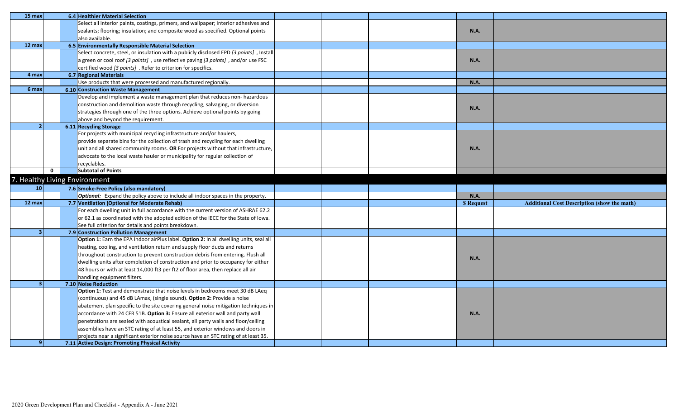| 15 max                        |              |  | 6.4 Healthier Material Selection                                                        |  |  |  |                  |                                                    |
|-------------------------------|--------------|--|-----------------------------------------------------------------------------------------|--|--|--|------------------|----------------------------------------------------|
|                               |              |  | Select all interior paints, coatings, primers, and wallpaper; interior adhesives and    |  |  |  |                  |                                                    |
|                               |              |  | sealants; flooring; insulation; and composite wood as specified. Optional points        |  |  |  | <b>N.A.</b>      |                                                    |
|                               |              |  | also available.                                                                         |  |  |  |                  |                                                    |
| 12 max                        |              |  | 6.5 Environmentally Responsible Material Selection                                      |  |  |  |                  |                                                    |
|                               |              |  | Select concrete, steel, or insulation with a publicly disclosed EPD [3 points], Install |  |  |  |                  |                                                    |
|                               |              |  | a green or cool roof [3 points], use reflective paving [3 points], and/or use FSC       |  |  |  | <b>N.A.</b>      |                                                    |
|                               |              |  | certified wood [3 points] . Refer to criterion for specifics.                           |  |  |  |                  |                                                    |
| 4 max                         |              |  | 6.7 Regional Materials                                                                  |  |  |  |                  |                                                    |
|                               |              |  | Use products that were processed and manufactured regionally.                           |  |  |  | <b>N.A.</b>      |                                                    |
| 6 max                         |              |  | 6.10 Construction Waste Management                                                      |  |  |  |                  |                                                    |
|                               |              |  | Develop and implement a waste management plan that reduces non- hazardous               |  |  |  |                  |                                                    |
|                               |              |  | construction and demolition waste through recycling, salvaging, or diversion            |  |  |  | <b>N.A.</b>      |                                                    |
|                               |              |  | strategies through one of the three options. Achieve optional points by going           |  |  |  |                  |                                                    |
|                               |              |  | above and beyond the requirement.                                                       |  |  |  |                  |                                                    |
| $\overline{2}$                |              |  | 6.11 Recycling Storage                                                                  |  |  |  |                  |                                                    |
|                               |              |  | For projects with municipal recycling infrastructure and/or haulers,                    |  |  |  |                  |                                                    |
|                               |              |  | provide separate bins for the collection of trash and recycling for each dwelling       |  |  |  |                  |                                                    |
|                               |              |  | unit and all shared community rooms. OR For projects without that infrastructure,       |  |  |  | <b>N.A.</b>      |                                                    |
|                               |              |  | advocate to the local waste hauler or municipality for regular collection of            |  |  |  |                  |                                                    |
|                               |              |  | recyclables.                                                                            |  |  |  |                  |                                                    |
|                               | $\mathbf{0}$ |  | <b>Subtotal of Points</b>                                                               |  |  |  |                  |                                                    |
| 7. Healthy Living Environment |              |  |                                                                                         |  |  |  |                  |                                                    |
| 10                            |              |  | 7.6 Smoke-Free Policy (also mandatory)                                                  |  |  |  |                  |                                                    |
|                               |              |  | <b>Optional:</b> Expand the policy above to include all indoor spaces in the property.  |  |  |  | <b>N.A.</b>      |                                                    |
| 12 max                        |              |  | 7.7 Ventilation (Optional for Moderate Rehab)                                           |  |  |  | <b>S</b> Request | <b>Additional Cost Description (show the math)</b> |
|                               |              |  | For each dwelling unit in full accordance with the current version of ASHRAE 62.2       |  |  |  |                  |                                                    |
|                               |              |  | or 62.1 as coordinated with the adopted edition of the IECC for the State of Iowa.      |  |  |  |                  |                                                    |
|                               |              |  | See full criterion for details and points breakdown.                                    |  |  |  |                  |                                                    |
|                               |              |  | 7.9 Construction Pollution Management                                                   |  |  |  |                  |                                                    |
|                               |              |  | Option 1: Earn the EPA Indoor airPlus label. Option 2: In all dwelling units, seal all  |  |  |  |                  |                                                    |
|                               |              |  | heating, cooling, and ventilation return and supply floor ducts and returns             |  |  |  |                  |                                                    |
|                               |              |  | throughout construction to prevent construction debris from entering. Flush all         |  |  |  |                  |                                                    |
|                               |              |  | dwelling units after completion of construction and prior to occupancy for either       |  |  |  | <b>N.A.</b>      |                                                    |
|                               |              |  | 48 hours or with at least 14,000 ft3 per ft2 of floor area, then replace all air        |  |  |  |                  |                                                    |
|                               |              |  | handling equipment filters.                                                             |  |  |  |                  |                                                    |
| 3                             |              |  | 7.10 Noise Reduction                                                                    |  |  |  |                  |                                                    |
|                               |              |  | Option 1: Test and demonstrate that noise levels in bedrooms meet 30 dB LAeq            |  |  |  |                  |                                                    |
|                               |              |  | (continuous) and 45 dB LAmax, (single sound). Option 2: Provide a noise                 |  |  |  |                  |                                                    |
|                               |              |  | abatement plan specific to the site covering general noise mitigation techniques in     |  |  |  |                  |                                                    |
|                               |              |  | accordance with 24 CFR 51B. Option 3: Ensure all exterior wall and party wall           |  |  |  | <b>N.A.</b>      |                                                    |
|                               |              |  |                                                                                         |  |  |  |                  |                                                    |
|                               |              |  | penetrations are sealed with acoustical sealant, all party walls and floor/ceiling      |  |  |  |                  |                                                    |
|                               |              |  | assemblies have an STC rating of at least 55, and exterior windows and doors in         |  |  |  |                  |                                                    |
|                               |              |  | projects near a significant exterior noise source have an STC rating of at least 35.    |  |  |  |                  |                                                    |